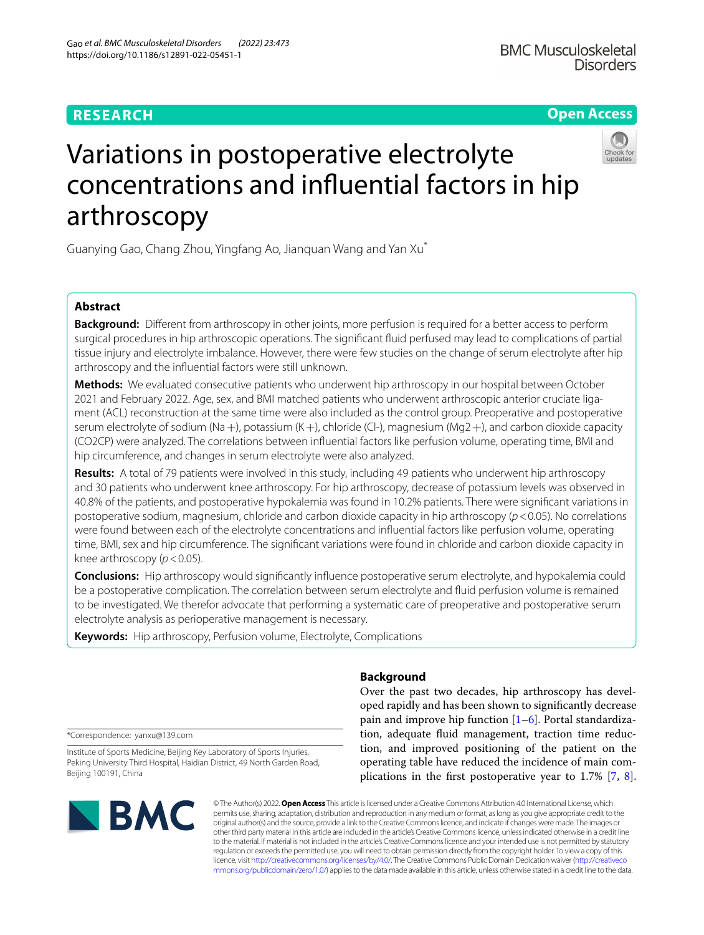# **RESEARCH**

**Open Access**

# Variations in postoperative electrolyte concentrations and infuential factors in hip arthroscopy

Guanying Gao, Chang Zhou, Yingfang Ao, Jianquan Wang and Yan Xu\*

# **Abstract**

**Background:** Different from arthroscopy in other joints, more perfusion is required for a better access to perform surgical procedures in hip arthroscopic operations. The signifcant fuid perfused may lead to complications of partial tissue injury and electrolyte imbalance. However, there were few studies on the change of serum electrolyte after hip arthroscopy and the infuential factors were still unknown.

**Methods:** We evaluated consecutive patients who underwent hip arthroscopy in our hospital between October 2021 and February 2022. Age, sex, and BMI matched patients who underwent arthroscopic anterior cruciate ligament (ACL) reconstruction at the same time were also included as the control group. Preoperative and postoperative serum electrolyte of sodium (Na+), potassium (K+), chloride (Cl-), magnesium (Mg2+), and carbon dioxide capacity (CO2CP) were analyzed. The correlations between infuential factors like perfusion volume, operating time, BMI and hip circumference, and changes in serum electrolyte were also analyzed.

**Results:** A total of 79 patients were involved in this study, including 49 patients who underwent hip arthroscopy and 30 patients who underwent knee arthroscopy. For hip arthroscopy, decrease of potassium levels was observed in 40.8% of the patients, and postoperative hypokalemia was found in 10.2% patients. There were signifcant variations in postoperative sodium, magnesium, chloride and carbon dioxide capacity in hip arthroscopy (*p*<0.05). No correlations were found between each of the electrolyte concentrations and infuential factors like perfusion volume, operating time, BMI, sex and hip circumference. The signifcant variations were found in chloride and carbon dioxide capacity in knee arthroscopy ( $p < 0.05$ ).

**Conclusions:** Hip arthroscopy would signifcantly infuence postoperative serum electrolyte, and hypokalemia could be a postoperative complication. The correlation between serum electrolyte and fuid perfusion volume is remained to be investigated. We therefor advocate that performing a systematic care of preoperative and postoperative serum electrolyte analysis as perioperative management is necessary.

**Keywords:** Hip arthroscopy, Perfusion volume, Electrolyte, Complications

# **Background**

Over the past two decades, hip arthroscopy has developed rapidly and has been shown to signifcantly decrease pain and improve hip function  $[1-6]$  $[1-6]$ . Portal standardization, adequate fluid management, traction time reduction, and improved positioning of the patient on the operating table have reduced the incidence of main complications in the frst postoperative year to 1.7% [\[7,](#page-5-1) [8](#page-5-2)].

\*Correspondence: yanxu@139.com

Institute of Sports Medicine, Beijing Key Laboratory of Sports Injuries, Peking University Third Hospital, Haidian District, 49 North Garden Road, Beijing 100191, China



© The Author(s) 2022. **Open Access** This article is licensed under a Creative Commons Attribution 4.0 International License, which permits use, sharing, adaptation, distribution and reproduction in any medium or format, as long as you give appropriate credit to the original author(s) and the source, provide a link to the Creative Commons licence, and indicate if changes were made. The images or other third party material in this article are included in the article's Creative Commons licence, unless indicated otherwise in a credit line to the material. If material is not included in the article's Creative Commons licence and your intended use is not permitted by statutory regulation or exceeds the permitted use, you will need to obtain permission directly from the copyright holder. To view a copy of this licence, visit [http://creativecommons.org/licenses/by/4.0/.](http://creativecommons.org/licenses/by/4.0/) The Creative Commons Public Domain Dedication waiver ([http://creativeco](http://creativecommons.org/publicdomain/zero/1.0/) [mmons.org/publicdomain/zero/1.0/](http://creativecommons.org/publicdomain/zero/1.0/)) applies to the data made available in this article, unless otherwise stated in a credit line to the data.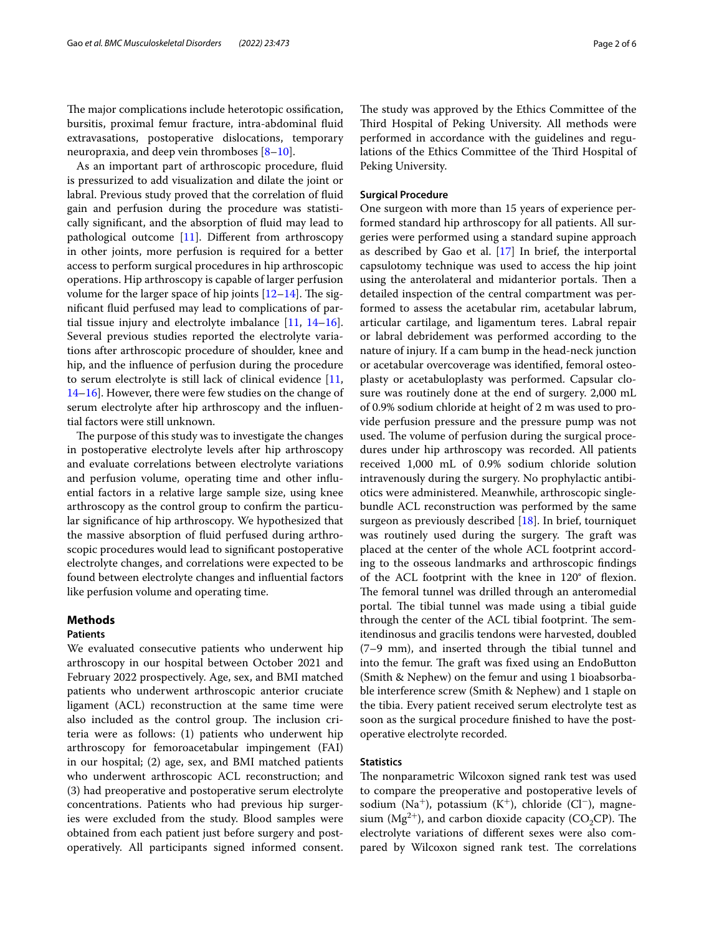The major complications include heterotopic ossification, bursitis, proximal femur fracture, intra-abdominal fuid extravasations, postoperative dislocations, temporary neuropraxia, and deep vein thromboses [[8–](#page-5-2)[10\]](#page-5-3).

As an important part of arthroscopic procedure, fuid is pressurized to add visualization and dilate the joint or labral. Previous study proved that the correlation of fuid gain and perfusion during the procedure was statistically signifcant, and the absorption of fuid may lead to pathological outcome [\[11](#page-5-4)]. Diferent from arthroscopy in other joints, more perfusion is required for a better access to perform surgical procedures in hip arthroscopic operations. Hip arthroscopy is capable of larger perfusion volume for the larger space of hip joints  $[12-14]$  $[12-14]$  $[12-14]$ . The signifcant fuid perfused may lead to complications of partial tissue injury and electrolyte imbalance [[11](#page-5-4), [14](#page-5-6)[–16](#page-5-7)]. Several previous studies reported the electrolyte variations after arthroscopic procedure of shoulder, knee and hip, and the infuence of perfusion during the procedure to serum electrolyte is still lack of clinical evidence [\[11](#page-5-4), [14–](#page-5-6)[16](#page-5-7)]. However, there were few studies on the change of serum electrolyte after hip arthroscopy and the infuential factors were still unknown.

The purpose of this study was to investigate the changes in postoperative electrolyte levels after hip arthroscopy and evaluate correlations between electrolyte variations and perfusion volume, operating time and other infuential factors in a relative large sample size, using knee arthroscopy as the control group to confrm the particular signifcance of hip arthroscopy. We hypothesized that the massive absorption of fuid perfused during arthroscopic procedures would lead to signifcant postoperative electrolyte changes, and correlations were expected to be found between electrolyte changes and infuential factors like perfusion volume and operating time.

## **Methods**

# **Patients**

We evaluated consecutive patients who underwent hip arthroscopy in our hospital between October 2021 and February 2022 prospectively. Age, sex, and BMI matched patients who underwent arthroscopic anterior cruciate ligament (ACL) reconstruction at the same time were also included as the control group. The inclusion criteria were as follows: (1) patients who underwent hip arthroscopy for femoroacetabular impingement (FAI) in our hospital; (2) age, sex, and BMI matched patients who underwent arthroscopic ACL reconstruction; and (3) had preoperative and postoperative serum electrolyte concentrations. Patients who had previous hip surgeries were excluded from the study. Blood samples were obtained from each patient just before surgery and postoperatively. All participants signed informed consent. The study was approved by the Ethics Committee of the Third Hospital of Peking University. All methods were performed in accordance with the guidelines and regulations of the Ethics Committee of the Third Hospital of Peking University.

#### **Surgical Procedure**

One surgeon with more than 15 years of experience performed standard hip arthroscopy for all patients. All surgeries were performed using a standard supine approach as described by Gao et al. [[17\]](#page-5-8) In brief, the interportal capsulotomy technique was used to access the hip joint using the anterolateral and midanterior portals. Then a detailed inspection of the central compartment was performed to assess the acetabular rim, acetabular labrum, articular cartilage, and ligamentum teres. Labral repair or labral debridement was performed according to the nature of injury. If a cam bump in the head-neck junction or acetabular overcoverage was identifed, femoral osteoplasty or acetabuloplasty was performed. Capsular closure was routinely done at the end of surgery. 2,000 mL of 0.9% sodium chloride at height of 2 m was used to provide perfusion pressure and the pressure pump was not used. The volume of perfusion during the surgical procedures under hip arthroscopy was recorded. All patients received 1,000 mL of 0.9% sodium chloride solution intravenously during the surgery. No prophylactic antibiotics were administered. Meanwhile, arthroscopic singlebundle ACL reconstruction was performed by the same surgeon as previously described [[18](#page-5-9)]. In brief, tourniquet was routinely used during the surgery. The graft was placed at the center of the whole ACL footprint according to the osseous landmarks and arthroscopic fndings of the ACL footprint with the knee in 120° of fexion. The femoral tunnel was drilled through an anteromedial portal. The tibial tunnel was made using a tibial guide through the center of the ACL tibial footprint. The semitendinosus and gracilis tendons were harvested, doubled (7–9 mm), and inserted through the tibial tunnel and into the femur. The graft was fixed using an EndoButton (Smith & Nephew) on the femur and using 1 bioabsorbable interference screw (Smith & Nephew) and 1 staple on the tibia. Every patient received serum electrolyte test as soon as the surgical procedure fnished to have the postoperative electrolyte recorded.

### **Statistics**

The nonparametric Wilcoxon signed rank test was used to compare the preoperative and postoperative levels of sodium (Na<sup>+</sup>), potassium (K<sup>+</sup>), chloride (Cl<sup>−</sup>), magnesium ( $Mg^{2+}$ ), and carbon dioxide capacity (CO<sub>2</sub>CP). The electrolyte variations of diferent sexes were also compared by Wilcoxon signed rank test. The correlations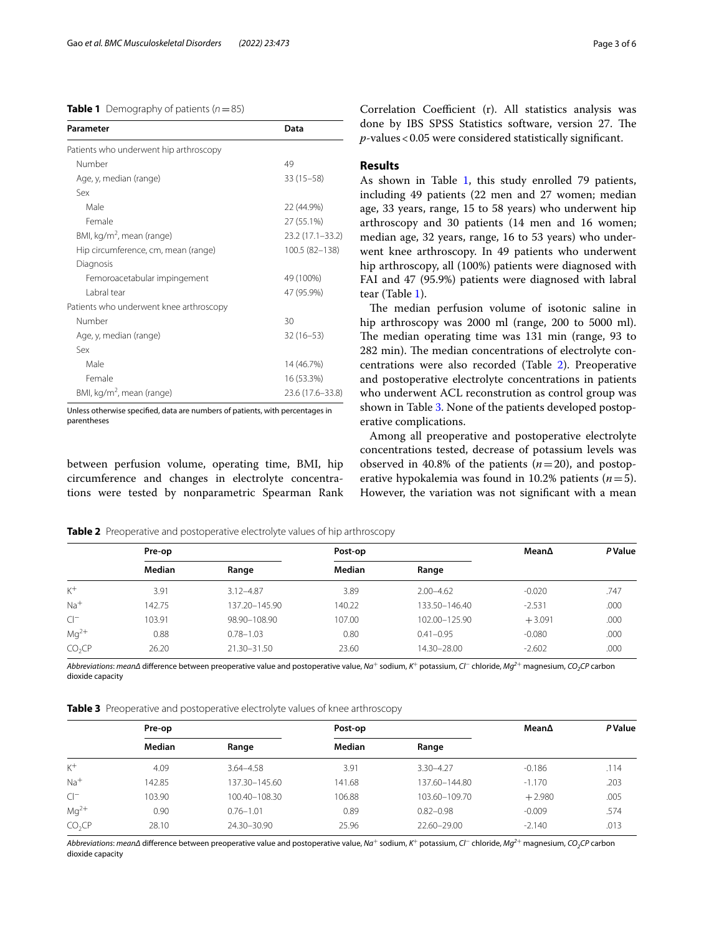## <span id="page-2-0"></span>**Table 1** Demography of patients  $(n=85)$

| Parameter                               | Data             |  |
|-----------------------------------------|------------------|--|
| Patients who underwent hip arthroscopy  |                  |  |
| Number                                  | 49               |  |
| Age, y, median (range)                  | $33(15 - 58)$    |  |
| Sex                                     |                  |  |
| Male                                    | 22 (44.9%)       |  |
| Female                                  | 27 (55.1%)       |  |
| BMI, kg/m <sup>2</sup> , mean (range)   | 23.2 (17.1-33.2) |  |
| Hip circumference, cm, mean (range)     | 100.5 (82-138)   |  |
| Diagnosis                               |                  |  |
| Femoroacetabular impingement            | 49 (100%)        |  |
| Labral tear                             | 47 (95.9%)       |  |
| Patients who underwent knee arthroscopy |                  |  |
| Number                                  | 30               |  |
| Age, y, median (range)                  | $32(16 - 53)$    |  |
| Sex                                     |                  |  |
| Male                                    | 14 (46.7%)       |  |
| Female                                  | 16 (53.3%)       |  |
| BMI, kg/m <sup>2</sup> , mean (range)   | 23.6 (17.6–33.8) |  |

Unless otherwise specifed, data are numbers of patients, with percentages in parentheses

between perfusion volume, operating time, BMI, hip circumference and changes in electrolyte concentrations were tested by nonparametric Spearman Rank Correlation Coefficient (r). All statistics analysis was done by IBS SPSS Statistics software, version 27. The *p*-values<0.05 were considered statistically signifcant.

# **Results**

As shown in Table [1,](#page-2-0) this study enrolled 79 patients, including 49 patients (22 men and 27 women; median age, 33 years, range, 15 to 58 years) who underwent hip arthroscopy and 30 patients (14 men and 16 women; median age, 32 years, range, 16 to 53 years) who underwent knee arthroscopy. In 49 patients who underwent hip arthroscopy, all (100%) patients were diagnosed with FAI and 47 (95.9%) patients were diagnosed with labral tear (Table [1\)](#page-2-0).

The median perfusion volume of isotonic saline in hip arthroscopy was 2000 ml (range, 200 to 5000 ml). The median operating time was 131 min (range, 93 to 282 min). The median concentrations of electrolyte concentrations were also recorded (Table [2\)](#page-2-1). Preoperative and postoperative electrolyte concentrations in patients who underwent ACL reconstrution as control group was shown in Table [3](#page-2-2). None of the patients developed postoperative complications.

Among all preoperative and postoperative electrolyte concentrations tested, decrease of potassium levels was observed in 40.8% of the patients  $(n=20)$ , and postoperative hypokalemia was found in 10.2% patients (*n*=5). However, the variation was not signifcant with a mean

<span id="page-2-1"></span>**Table 2** Preoperative and postoperative electrolyte values of hip arthroscopy

|                    | Pre-op |               | Post-op |               | Mean∆    | <b>P</b> Value |
|--------------------|--------|---------------|---------|---------------|----------|----------------|
|                    | Median | Range         | Median  | Range         |          |                |
| $K^+$              | 3.91   | $3.12 - 4.87$ | 3.89    | $2.00 - 4.62$ | $-0.020$ | .747           |
| $Na+$              | 142.75 | 137.20-145.90 | 140.22  | 133.50-146.40 | $-2.531$ | .000           |
| $Cl^-$             | 103.91 | 98.90-108.90  | 107.00  | 102.00-125.90 | $+3.091$ | .000           |
| $Mq^{2+}$          | 0.88   | $0.78 - 1.03$ | 0.80    | $0.41 - 0.95$ | $-0.080$ | .000           |
| CO <sub>2</sub> CP | 26.20  | 21.30-31.50   | 23.60   | 14.30-28.00   | $-2.602$ | .000           |

*Abbreviations*: *meanΔ* diference between preoperative value and postoperative value, *Na*+ sodium, *K*+ potassium, *Cl*− chloride, *Mg2*+ magnesium, *CO2CP* carbon dioxide capacity

<span id="page-2-2"></span>

|  |  | Table 3 Preoperative and postoperative electrolyte values of knee arthroscopy |
|--|--|-------------------------------------------------------------------------------|
|--|--|-------------------------------------------------------------------------------|

|                    | Pre-op |               | Post-op |               | Mean∆    | <b>P</b> Value |
|--------------------|--------|---------------|---------|---------------|----------|----------------|
|                    | Median | Range         | Median  | Range         |          |                |
| $K^+$              | 4.09   | 3.64-4.58     | 3.91    | $3.30 - 4.27$ | $-0.186$ | .114           |
| $Na+$              | 142.85 | 137.30-145.60 | 141.68  | 137.60-144.80 | $-1.170$ | .203           |
| $Cl^-$             | 103.90 | 100.40-108.30 | 106.88  | 103.60-109.70 | $+2.980$ | .005           |
| $Mq^{2+}$          | 0.90   | $0.76 - 1.01$ | 0.89    | $0.82 - 0.98$ | $-0.009$ | .574           |
| CO <sub>2</sub> CP | 28.10  | 24.30-30.90   | 25.96   | 22.60-29.00   | $-2.140$ | .013           |

*Abbreviations*: *meanΔ* diference between preoperative value and postoperative value, *Na*+ sodium, *K*+ potassium, *Cl*− chloride, *Mg2*+ magnesium, *CO2CP* carbon dioxide capacity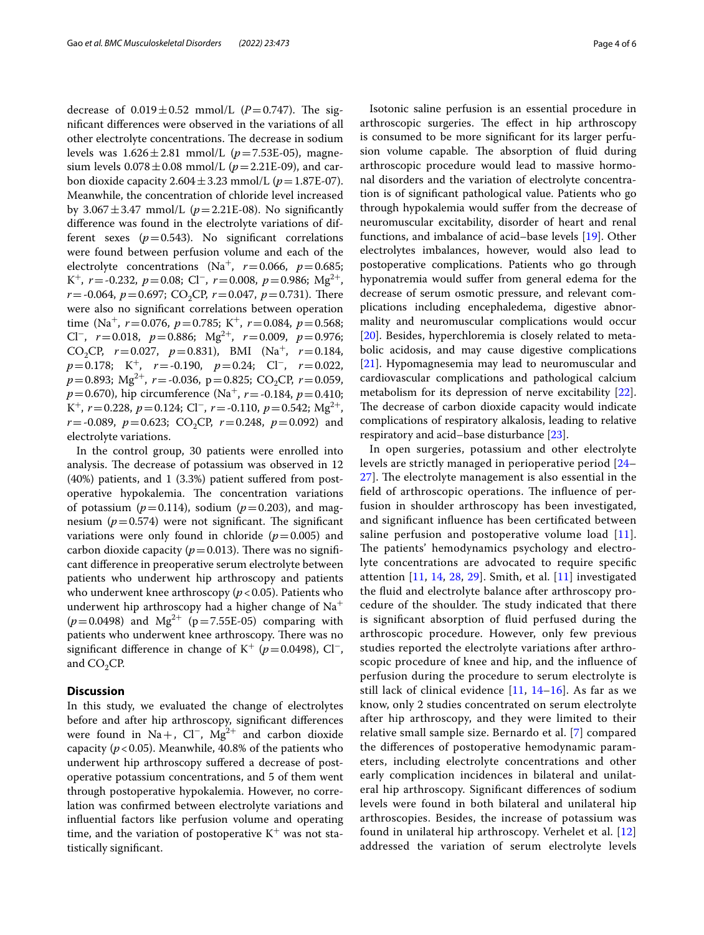decrease of  $0.019 \pm 0.52$  mmol/L ( $P = 0.747$ ). The signifcant diferences were observed in the variations of all other electrolyte concentrations. The decrease in sodium levels was 1.626±2.81 mmol/L (*p*=7.53E-05), magnesium levels  $0.078 \pm 0.08$  mmol/L ( $p = 2.21E-09$ ), and carbon dioxide capacity  $2.604 \pm 3.23$  mmol/L ( $p = 1.87E-07$ ). Meanwhile, the concentration of chloride level increased by  $3.067 \pm 3.47$  mmol/L ( $p = 2.21E-08$ ). No significantly diference was found in the electrolyte variations of different sexes  $(p=0.543)$ . No significant correlations were found between perfusion volume and each of the electrolyte concentrations (Na<sup>+</sup>,  $r=0.066$ ,  $p=0.685$ ; K<sup>+</sup>, *r*=-0.232, *p*=0.08; Cl<sup>−</sup>, *r*=0.008, *p*=0.986; Mg<sup>2</sup><sup>+</sup>,  $r = -0.064$ ,  $p = 0.697$ ; CO<sub>2</sub>CP,  $r = 0.047$ ,  $p = 0.731$ ). There were also no signifcant correlations between operation time (Na<sup>+</sup>, *r*=0.076, *p*=0.785; K<sup>+</sup>, *r*=0.084, *p*=0.568; Cl−, *r*=0.018, *p*=0.886; Mg2<sup>+</sup>, *r*=0.009, *p*=0.976; CO<sub>2</sub>CP,  $r=0.027$ ,  $p=0.831$ ), BMI (Na<sup>+</sup>,  $r=0.184$ , *p*=0.178; K<sup>+</sup>, *r*=-0.190, *p*=0.24; Cl<sup>−</sup>, *r*=0.022,  $p=0.893$ ; Mg<sup>2+</sup>,  $r=-0.036$ ,  $p=0.825$ ; CO<sub>2</sub>CP,  $r=0.059$ ,  $p=0.670$ ), hip circumference (Na<sup>+</sup>, *r* = -0.184, *p* = 0.410; K<sup>+</sup>, *r* = 0.228, *p* = 0.124; Cl<sup>-</sup>, *r* = -0.110, *p* = 0.542; Mg<sup>2+</sup>,  $r = -0.089$ ,  $p = 0.623$ ; CO<sub>2</sub>CP,  $r = 0.248$ ,  $p = 0.092$ ) and electrolyte variations.

In the control group, 30 patients were enrolled into analysis. The decrease of potassium was observed in 12 (40%) patients, and 1 (3.3%) patient sufered from postoperative hypokalemia. The concentration variations of potassium ( $p=0.114$ ), sodium ( $p=0.203$ ), and magnesium  $(p=0.574)$  were not significant. The significant variations were only found in chloride  $(p=0.005)$  and carbon dioxide capacity ( $p=0.013$ ). There was no significant diference in preoperative serum electrolyte between patients who underwent hip arthroscopy and patients who underwent knee arthroscopy ( $p$  < 0.05). Patients who underwent hip arthroscopy had a higher change of  $Na<sup>+</sup>$  $(p=0.0498)$  and Mg<sup>2+</sup> (p=7.55E-05) comparing with patients who underwent knee arthroscopy. There was no significant difference in change of K<sup>+</sup> ( $p$ =0.0498), Cl<sup>-</sup>, and  $CO<sub>2</sub>CP$ .

## **Discussion**

In this study, we evaluated the change of electrolytes before and after hip arthroscopy, signifcant diferences were found in Na+, Cl<sup>−</sup>, Mg<sup>2</sup><sup>+</sup> and carbon dioxide capacity  $(p < 0.05)$ . Meanwhile, 40.8% of the patients who underwent hip arthroscopy sufered a decrease of postoperative potassium concentrations, and 5 of them went through postoperative hypokalemia. However, no correlation was confrmed between electrolyte variations and infuential factors like perfusion volume and operating time, and the variation of postoperative  $K^+$  was not statistically signifcant.

Isotonic saline perfusion is an essential procedure in arthroscopic surgeries. The effect in hip arthroscopy is consumed to be more signifcant for its larger perfusion volume capable. The absorption of fluid during arthroscopic procedure would lead to massive hormonal disorders and the variation of electrolyte concentration is of signifcant pathological value. Patients who go through hypokalemia would sufer from the decrease of neuromuscular excitability, disorder of heart and renal functions, and imbalance of acid–base levels [[19\]](#page-5-10). Other electrolytes imbalances, however, would also lead to postoperative complications. Patients who go through hyponatremia would sufer from general edema for the decrease of serum osmotic pressure, and relevant complications including encephaledema, digestive abnormality and neuromuscular complications would occur [[20\]](#page-5-11). Besides, hyperchloremia is closely related to metabolic acidosis, and may cause digestive complications [[21\]](#page-5-12). Hypomagnesemia may lead to neuromuscular and cardiovascular complications and pathological calcium metabolism for its depression of nerve excitability [\[22](#page-5-13)]. The decrease of carbon dioxide capacity would indicate complications of respiratory alkalosis, leading to relative respiratory and acid–base disturbance [\[23\]](#page-5-14).

In open surgeries, potassium and other electrolyte levels are strictly managed in perioperative period [[24–](#page-5-15)  $27$ ]. The electrolyte management is also essential in the field of arthroscopic operations. The influence of perfusion in shoulder arthroscopy has been investigated, and signifcant infuence has been certifcated between saline perfusion and postoperative volume load [[11](#page-5-4)]. The patients' hemodynamics psychology and electrolyte concentrations are advocated to require specifc attention [\[11](#page-5-4), [14,](#page-5-6) [28](#page-5-17), [29\]](#page-5-18). Smith, et al. [[11\]](#page-5-4) investigated the fuid and electrolyte balance after arthroscopy procedure of the shoulder. The study indicated that there is signifcant absorption of fuid perfused during the arthroscopic procedure. However, only few previous studies reported the electrolyte variations after arthroscopic procedure of knee and hip, and the infuence of perfusion during the procedure to serum electrolyte is still lack of clinical evidence  $[11, 14-16]$  $[11, 14-16]$  $[11, 14-16]$  $[11, 14-16]$ . As far as we know, only 2 studies concentrated on serum electrolyte after hip arthroscopy, and they were limited to their relative small sample size. Bernardo et al. [[7\]](#page-5-1) compared the diferences of postoperative hemodynamic parameters, including electrolyte concentrations and other early complication incidences in bilateral and unilateral hip arthroscopy. Signifcant diferences of sodium levels were found in both bilateral and unilateral hip arthroscopies. Besides, the increase of potassium was found in unilateral hip arthroscopy. Verhelet et al. [\[12](#page-5-5)] addressed the variation of serum electrolyte levels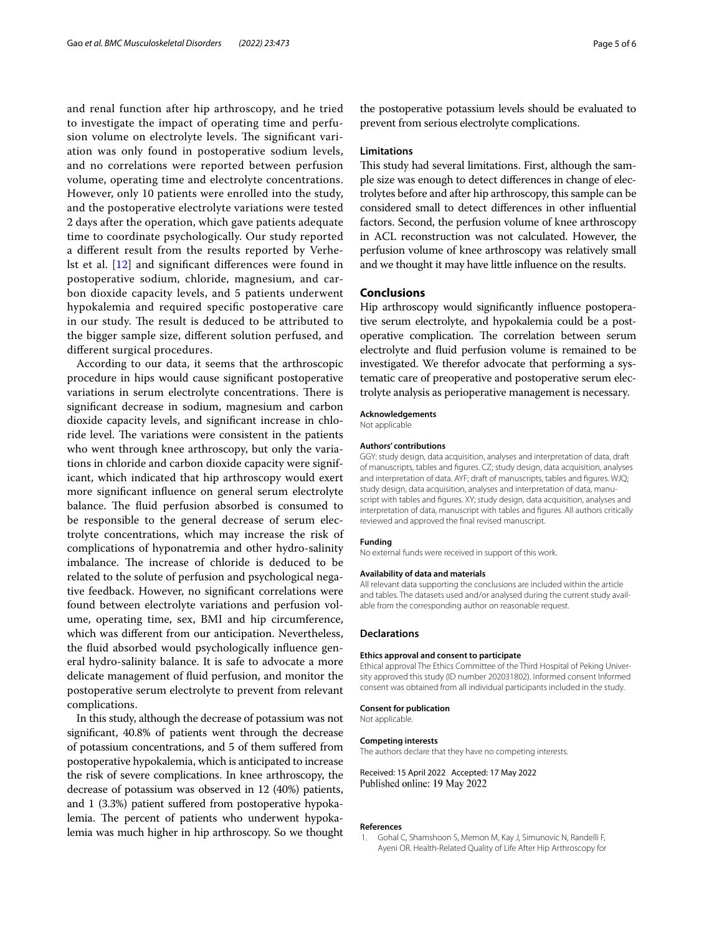and renal function after hip arthroscopy, and he tried to investigate the impact of operating time and perfusion volume on electrolyte levels. The significant variation was only found in postoperative sodium levels, and no correlations were reported between perfusion volume, operating time and electrolyte concentrations. However, only 10 patients were enrolled into the study, and the postoperative electrolyte variations were tested 2 days after the operation, which gave patients adequate time to coordinate psychologically. Our study reported a diferent result from the results reported by Verhelst et al. [\[12](#page-5-5)] and signifcant diferences were found in postoperative sodium, chloride, magnesium, and carbon dioxide capacity levels, and 5 patients underwent hypokalemia and required specifc postoperative care in our study. The result is deduced to be attributed to the bigger sample size, diferent solution perfused, and diferent surgical procedures.

According to our data, it seems that the arthroscopic procedure in hips would cause signifcant postoperative variations in serum electrolyte concentrations. There is signifcant decrease in sodium, magnesium and carbon dioxide capacity levels, and signifcant increase in chloride level. The variations were consistent in the patients who went through knee arthroscopy, but only the variations in chloride and carbon dioxide capacity were significant, which indicated that hip arthroscopy would exert more signifcant infuence on general serum electrolyte balance. The fluid perfusion absorbed is consumed to be responsible to the general decrease of serum electrolyte concentrations, which may increase the risk of complications of hyponatremia and other hydro-salinity imbalance. The increase of chloride is deduced to be related to the solute of perfusion and psychological negative feedback. However, no signifcant correlations were found between electrolyte variations and perfusion volume, operating time, sex, BMI and hip circumference, which was diferent from our anticipation. Nevertheless, the fuid absorbed would psychologically infuence general hydro-salinity balance. It is safe to advocate a more delicate management of fuid perfusion, and monitor the postoperative serum electrolyte to prevent from relevant complications.

In this study, although the decrease of potassium was not signifcant, 40.8% of patients went through the decrease of potassium concentrations, and 5 of them sufered from postoperative hypokalemia, which is anticipated to increase the risk of severe complications. In knee arthroscopy, the decrease of potassium was observed in 12 (40%) patients, and 1 (3.3%) patient sufered from postoperative hypokalemia. The percent of patients who underwent hypokalemia was much higher in hip arthroscopy. So we thought

the postoperative potassium levels should be evaluated to prevent from serious electrolyte complications.

#### **Limitations**

This study had several limitations. First, although the sample size was enough to detect diferences in change of electrolytes before and after hip arthroscopy, this sample can be considered small to detect diferences in other infuential factors. Second, the perfusion volume of knee arthroscopy in ACL reconstruction was not calculated. However, the perfusion volume of knee arthroscopy was relatively small and we thought it may have little infuence on the results.

#### **Conclusions**

Hip arthroscopy would signifcantly infuence postoperative serum electrolyte, and hypokalemia could be a postoperative complication. The correlation between serum electrolyte and fuid perfusion volume is remained to be investigated. We therefor advocate that performing a systematic care of preoperative and postoperative serum electrolyte analysis as perioperative management is necessary.

#### **Acknowledgements**

Not applicable

#### **Authors' contributions**

GGY: study design, data acquisition, analyses and interpretation of data, draft of manuscripts, tables and fgures. CZ; study design, data acquisition, analyses and interpretation of data. AYF; draft of manuscripts, tables and fgures. WJQ; study design, data acquisition, analyses and interpretation of data, manuscript with tables and fgures. XY; study design, data acquisition, analyses and interpretation of data, manuscript with tables and fgures. All authors critically reviewed and approved the fnal revised manuscript.

#### **Funding**

No external funds were received in support of this work.

#### **Availability of data and materials**

All relevant data supporting the conclusions are included within the article and tables. The datasets used and/or analysed during the current study available from the corresponding author on reasonable request.

#### **Declarations**

#### **Ethics approval and consent to participate**

Ethical approval The Ethics Committee of the Third Hospital of Peking University approved this study (ID number 202031802). Informed consent Informed consent was obtained from all individual participants included in the study.

#### **Consent for publication**

Not applicable.

#### **Competing interests**

The authors declare that they have no competing interests.

Received: 15 April 2022 Accepted: 17 May 2022 Published online: 19 May 2022

#### **References**

<span id="page-4-0"></span>1. Gohal C, Shamshoon S, Memon M, Kay J, Simunovic N, Randelli F, Ayeni OR. Health-Related Quality of Life After Hip Arthroscopy for